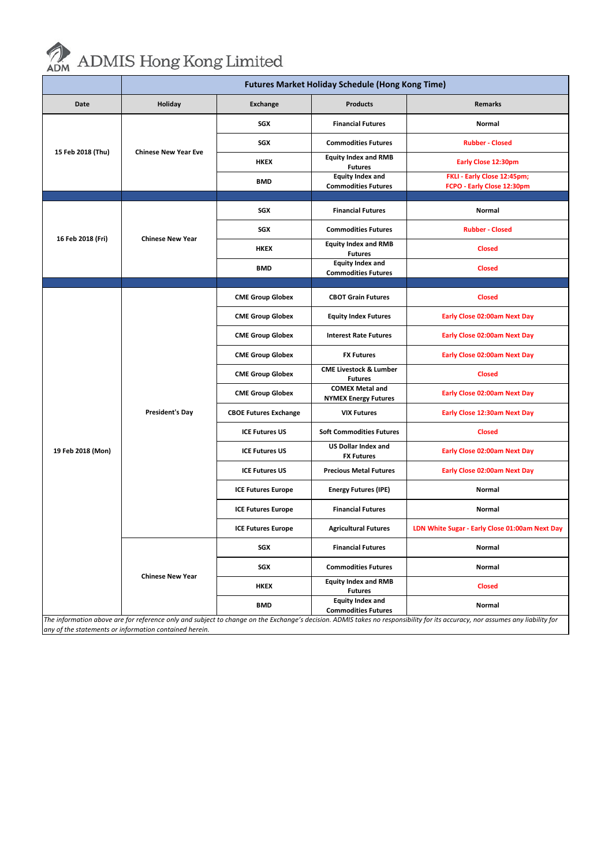

## ADMIS Hong Kong Limited

|                                                                                                                                                                              | <b>Futures Market Holiday Schedule (Hong Kong Time)</b> |                              |                                                       |                                                           |  |  |  |
|------------------------------------------------------------------------------------------------------------------------------------------------------------------------------|---------------------------------------------------------|------------------------------|-------------------------------------------------------|-----------------------------------------------------------|--|--|--|
| Date                                                                                                                                                                         | Holiday                                                 | <b>Exchange</b>              | <b>Products</b>                                       | <b>Remarks</b>                                            |  |  |  |
| 15 Feb 2018 (Thu)                                                                                                                                                            | <b>Chinese New Year Eve</b>                             | SGX                          | <b>Financial Futures</b>                              | Normal                                                    |  |  |  |
|                                                                                                                                                                              |                                                         | SGX                          | <b>Commodities Futures</b>                            | <b>Rubber - Closed</b>                                    |  |  |  |
|                                                                                                                                                                              |                                                         | <b>HKEX</b>                  | <b>Equity Index and RMB</b><br><b>Futures</b>         | Early Close 12:30pm                                       |  |  |  |
|                                                                                                                                                                              |                                                         | <b>BMD</b>                   | <b>Equity Index and</b><br><b>Commodities Futures</b> | FKLI - Early Close 12:45pm;<br>FCPO - Early Close 12:30pm |  |  |  |
|                                                                                                                                                                              |                                                         |                              |                                                       |                                                           |  |  |  |
| 16 Feb 2018 (Fri)                                                                                                                                                            | <b>Chinese New Year</b>                                 | SGX                          | <b>Financial Futures</b>                              | Normal                                                    |  |  |  |
|                                                                                                                                                                              |                                                         | SGX                          | <b>Commodities Futures</b>                            | <b>Rubber - Closed</b>                                    |  |  |  |
|                                                                                                                                                                              |                                                         | <b>HKEX</b>                  | <b>Equity Index and RMB</b><br><b>Futures</b>         | <b>Closed</b>                                             |  |  |  |
|                                                                                                                                                                              |                                                         | <b>BMD</b>                   | <b>Equity Index and</b>                               | <b>Closed</b>                                             |  |  |  |
|                                                                                                                                                                              |                                                         |                              | <b>Commodities Futures</b>                            |                                                           |  |  |  |
|                                                                                                                                                                              |                                                         |                              |                                                       |                                                           |  |  |  |
| 19 Feb 2018 (Mon)                                                                                                                                                            | <b>President's Day</b>                                  | <b>CME Group Globex</b>      | <b>CBOT Grain Futures</b>                             | <b>Closed</b>                                             |  |  |  |
|                                                                                                                                                                              |                                                         | <b>CME Group Globex</b>      | <b>Equity Index Futures</b>                           | Early Close 02:00am Next Day                              |  |  |  |
|                                                                                                                                                                              |                                                         | <b>CME Group Globex</b>      | <b>Interest Rate Futures</b>                          | Early Close 02:00am Next Day                              |  |  |  |
|                                                                                                                                                                              |                                                         | <b>CME Group Globex</b>      | <b>FX Futures</b>                                     | Early Close 02:00am Next Day                              |  |  |  |
|                                                                                                                                                                              |                                                         | <b>CME Group Globex</b>      | <b>CME Livestock &amp; Lumber</b><br><b>Futures</b>   | <b>Closed</b>                                             |  |  |  |
|                                                                                                                                                                              |                                                         | <b>CME Group Globex</b>      | <b>COMEX Metal and</b><br><b>NYMEX Energy Futures</b> | Early Close 02:00am Next Day                              |  |  |  |
|                                                                                                                                                                              |                                                         | <b>CBOE Futures Exchange</b> | <b>VIX Futures</b>                                    | Early Close 12:30am Next Day                              |  |  |  |
|                                                                                                                                                                              |                                                         | <b>ICE Futures US</b>        | <b>Soft Commodities Futures</b>                       | <b>Closed</b>                                             |  |  |  |
|                                                                                                                                                                              |                                                         | <b>ICE Futures US</b>        | <b>US Dollar Index and</b><br><b>FX Futures</b>       | Early Close 02:00am Next Day                              |  |  |  |
|                                                                                                                                                                              |                                                         | <b>ICE Futures US</b>        | <b>Precious Metal Futures</b>                         | Early Close 02:00am Next Day                              |  |  |  |
|                                                                                                                                                                              |                                                         | <b>ICE Futures Europe</b>    | <b>Energy Futures (IPE)</b>                           | Normal                                                    |  |  |  |
|                                                                                                                                                                              |                                                         | <b>ICE Futures Europe</b>    | <b>Financial Futures</b>                              | Normal                                                    |  |  |  |
|                                                                                                                                                                              |                                                         | <b>ICE Futures Europe</b>    | <b>Agricultural Futures</b>                           | LDN White Sugar - Early Close 01:00am Next Day            |  |  |  |
|                                                                                                                                                                              | <b>Chinese New Year</b>                                 | SGX                          | <b>Financial Futures</b>                              | Normal                                                    |  |  |  |
|                                                                                                                                                                              |                                                         | SGX                          | <b>Commodities Futures</b>                            | Normal                                                    |  |  |  |
|                                                                                                                                                                              |                                                         | <b>HKEX</b>                  | <b>Equity Index and RMB</b><br><b>Futures</b>         | <b>Closed</b>                                             |  |  |  |
|                                                                                                                                                                              |                                                         | <b>BMD</b>                   | <b>Equity Index and</b><br><b>Commodities Futures</b> | Normal                                                    |  |  |  |
| The information above are for reference only and subject to change on the Exchange's decision. ADMIS takes no responsibility for its accuracy, nor assumes any liability for |                                                         |                              |                                                       |                                                           |  |  |  |
| any of the statements or information contained herein.                                                                                                                       |                                                         |                              |                                                       |                                                           |  |  |  |